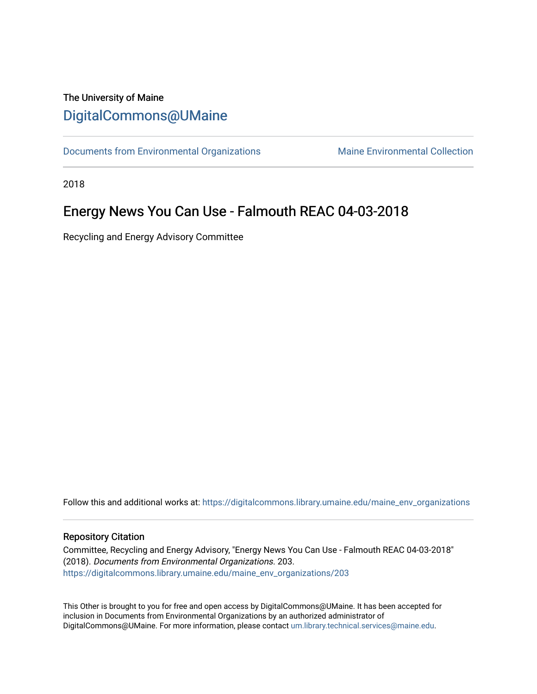### The University of Maine [DigitalCommons@UMaine](https://digitalcommons.library.umaine.edu/)

[Documents from Environmental Organizations](https://digitalcommons.library.umaine.edu/maine_env_organizations) Maine Environmental Collection

2018

## Energy News You Can Use - Falmouth REAC 04-03-2018

Recycling and Energy Advisory Committee

Follow this and additional works at: [https://digitalcommons.library.umaine.edu/maine\\_env\\_organizations](https://digitalcommons.library.umaine.edu/maine_env_organizations?utm_source=digitalcommons.library.umaine.edu%2Fmaine_env_organizations%2F203&utm_medium=PDF&utm_campaign=PDFCoverPages)

#### Repository Citation

Committee, Recycling and Energy Advisory, "Energy News You Can Use - Falmouth REAC 04-03-2018" (2018). Documents from Environmental Organizations. 203. [https://digitalcommons.library.umaine.edu/maine\\_env\\_organizations/203](https://digitalcommons.library.umaine.edu/maine_env_organizations/203?utm_source=digitalcommons.library.umaine.edu%2Fmaine_env_organizations%2F203&utm_medium=PDF&utm_campaign=PDFCoverPages)

This Other is brought to you for free and open access by DigitalCommons@UMaine. It has been accepted for inclusion in Documents from Environmental Organizations by an authorized administrator of DigitalCommons@UMaine. For more information, please contact [um.library.technical.services@maine.edu](mailto:um.library.technical.services@maine.edu).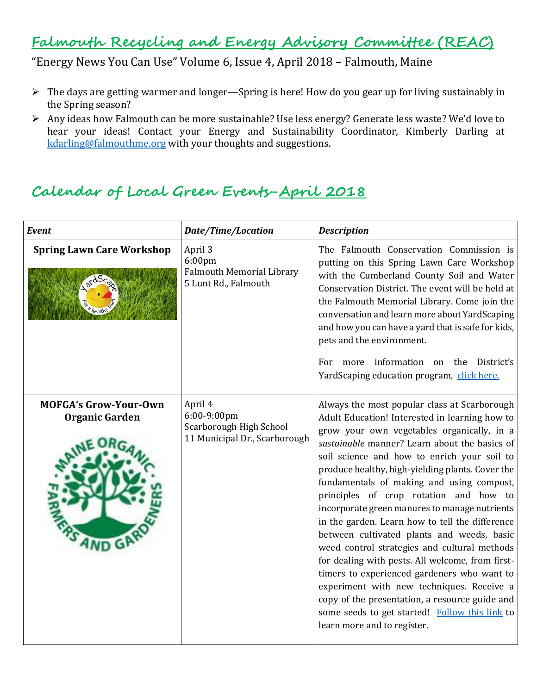## **Falmouth Recycling and Energy Advisory Committee (REAC)**

"Energy News You Can Use" Volume 6, Issue 4, April 2018 – Falmouth, Maine

- ➢ The days are getting warmer and longer—Spring is here! How do you gear up for living sustainably in the Spring season?
- ➢ Any ideas how Falmouth can be more sustainable? Use less energy? Generate less waste? We'd love to hear your ideas! Contact your Energy and Sustainability Coordinator, Kimberly Darling at [kdarling@falmouthme.org](mailto:kdarling@falmouthme.org) with your thoughts and suggestions.

## **Calendar of Local Green Events-April 2018**

| Event                                                          | <b>Date/Time/Location</b>                                                                 | <b>Description</b>                                                                                                                                                                                                                                                                                                                                                                                                                                                                                                                                                                                                                                                                                                                                                                                                                                                           |
|----------------------------------------------------------------|-------------------------------------------------------------------------------------------|------------------------------------------------------------------------------------------------------------------------------------------------------------------------------------------------------------------------------------------------------------------------------------------------------------------------------------------------------------------------------------------------------------------------------------------------------------------------------------------------------------------------------------------------------------------------------------------------------------------------------------------------------------------------------------------------------------------------------------------------------------------------------------------------------------------------------------------------------------------------------|
| <b>Spring Lawn Care Workshop</b>                               | April 3<br>6:00 <sub>pm</sub><br><b>Falmouth Memorial Library</b><br>5 Lunt Rd., Falmouth | The Falmouth Conservation Commission is<br>putting on this Spring Lawn Care Workshop<br>with the Cumberland County Soil and Water<br>Conservation District. The event will be held at<br>the Falmouth Memorial Library. Come join the<br>conversation and learn more about YardScaping<br>and how you can have a yard that is safe for kids,<br>pets and the environment.<br>For more information on the District's<br>YardScaping education program, click here.                                                                                                                                                                                                                                                                                                                                                                                                            |
| <b>MOFGA's Grow-Your-Own</b><br><b>Organic Garden</b><br>AND G | April 4<br>6:00-9:00pm<br>Scarborough High School<br>11 Municipal Dr., Scarborough        | Always the most popular class at Scarborough<br>Adult Education! Interested in learning how to<br>grow your own vegetables organically, in a<br>sustainable manner? Learn about the basics of<br>soil science and how to enrich your soil to<br>produce healthy, high-yielding plants. Cover the<br>fundamentals of making and using compost,<br>principles of crop rotation and how to<br>incorporate green manures to manage nutrients<br>in the garden. Learn how to tell the difference<br>between cultivated plants and weeds, basic<br>weed control strategies and cultural methods<br>for dealing with pests. All welcome, from first-<br>timers to experienced gardeners who want to<br>experiment with new techniques. Receive a<br>copy of the presentation, a resource guide and<br>some seeds to get started! Follow this link to<br>learn more and to register. |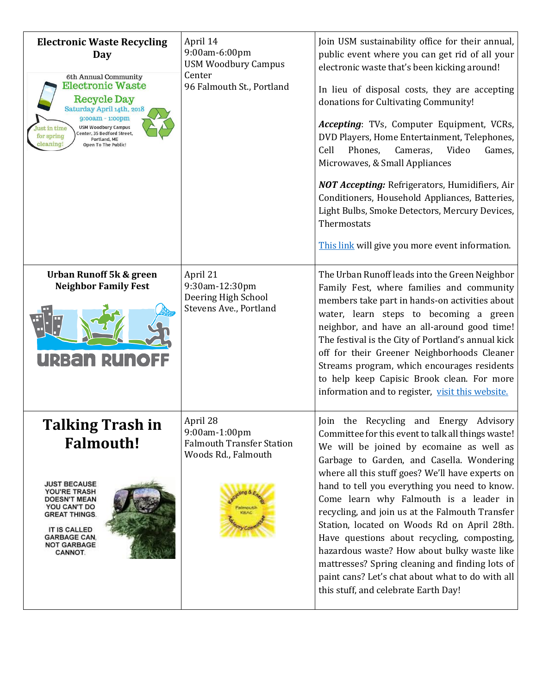| <b>Electronic Waste Recycling</b><br>Day<br>6th Annual Community<br><b>Electronic Waste</b><br><b>Recycle Day</b><br>Saturday April 14th, 2018<br>9:00am - 1:00pm<br><b>USM Woodbury Campus</b><br>ust in time<br>Center, 35 Bedford Street,<br>for spring<br>Portland, ME<br>cleaning<br>Open To The Public! | April 14<br>9:00am-6:00pm<br><b>USM Woodbury Campus</b><br>Center<br>96 Falmouth St., Portland | Join USM sustainability office for their annual,<br>public event where you can get rid of all your<br>electronic waste that's been kicking around!<br>In lieu of disposal costs, they are accepting<br>donations for Cultivating Community!<br>Accepting: TVs, Computer Equipment, VCRs,<br>DVD Players, Home Entertainment, Telephones,<br>Cell<br>Phones,<br>Cameras,<br>Video<br>Games,<br>Microwaves, & Small Appliances<br><b>NOT Accepting:</b> Refrigerators, Humidifiers, Air<br>Conditioners, Household Appliances, Batteries,<br>Light Bulbs, Smoke Detectors, Mercury Devices,<br>Thermostats<br>This link will give you more event information.                         |
|---------------------------------------------------------------------------------------------------------------------------------------------------------------------------------------------------------------------------------------------------------------------------------------------------------------|------------------------------------------------------------------------------------------------|-------------------------------------------------------------------------------------------------------------------------------------------------------------------------------------------------------------------------------------------------------------------------------------------------------------------------------------------------------------------------------------------------------------------------------------------------------------------------------------------------------------------------------------------------------------------------------------------------------------------------------------------------------------------------------------|
| <b>Urban Runoff 5k &amp; green</b><br><b>Neighbor Family Fest</b><br><u>urban runol</u>                                                                                                                                                                                                                       | April 21<br>9:30am-12:30pm<br>Deering High School<br>Stevens Ave., Portland                    | The Urban Runoff leads into the Green Neighbor<br>Family Fest, where families and community<br>members take part in hands-on activities about<br>water, learn steps to becoming a green<br>neighbor, and have an all-around good time!<br>The festival is the City of Portland's annual kick<br>off for their Greener Neighborhoods Cleaner<br>Streams program, which encourages residents<br>to help keep Capisic Brook clean. For more<br>information and to register, visit this website.                                                                                                                                                                                        |
| <b>Talking Trash in</b><br><b>Falmouth!</b><br><b>JUST BECAUSE</b><br>YOU'RE TRASH<br><b>DOESN'T MEAN</b><br>YOU CAN'T DO<br><b>GREAT THINGS.</b><br><b>IT IS CALLED</b><br><b>GARBAGE CAN.</b><br><b>NOT GARBAGE</b><br>CANNOT.                                                                              | April 28<br>9:00am-1:00pm<br><b>Falmouth Transfer Station</b><br>Woods Rd., Falmouth           | Join the Recycling and Energy Advisory<br>Committee for this event to talk all things waste!<br>We will be joined by ecomaine as well as<br>Garbage to Garden, and Casella. Wondering<br>where all this stuff goes? We'll have experts on<br>hand to tell you everything you need to know.<br>Come learn why Falmouth is a leader in<br>recycling, and join us at the Falmouth Transfer<br>Station, located on Woods Rd on April 28th.<br>Have questions about recycling, composting,<br>hazardous waste? How about bulky waste like<br>mattresses? Spring cleaning and finding lots of<br>paint cans? Let's chat about what to do with all<br>this stuff, and celebrate Earth Day! |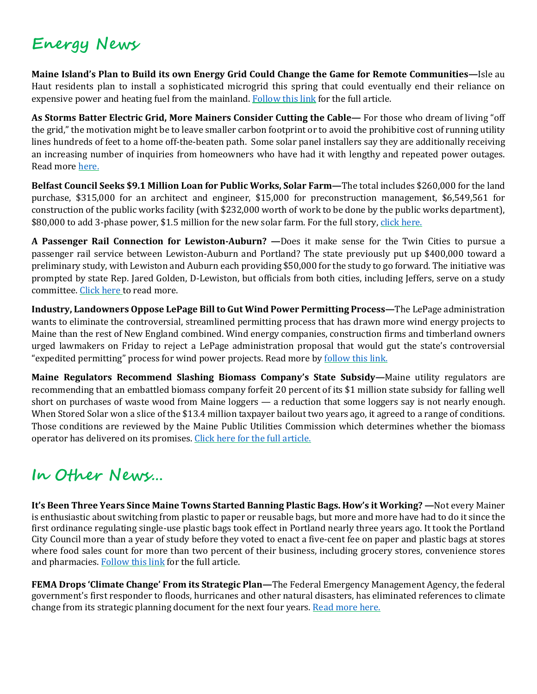# **Energy News**

**Maine Island's Plan to Build its own Energy Grid Could Change the Game for Remote Communities—**Isle au Haut residents plan to install a sophisticated microgrid this spring that could eventually end their reliance on expensive power and heating fuel from the mainland. [Follow](http://bangordailynews.com/2018/03/05/energy/maine-islands-plan-to-build-its-own-energy-grid-could-change-the-game-for-remote-communities/) this link for the full article.

**As Storms Batter Electric Grid, More Mainers Consider Cutting the Cable—** For those who dream of living "off the grid," the motivation might be to leave smaller carbon footprint or to avoid the prohibitive cost of running utility lines hundreds of feet to a home off-the-beaten path. Some solar panel installers say they are additionally receiving an increasing number of inquiries from homeowners who have had it with lengthy and repeated power outages. Read more [here.](http://mainepublic.org/post/storms-batter-electric-grid-more-mainers-consider-cutting-cable)

**Belfast Council Seeks \$9.1 Million Loan for Public Works, Solar Farm—**The total includes \$260,000 for the land purchase, \$315,000 for an architect and engineer, \$15,000 for preconstruction management, \$6,549,561 for construction of the public works facility (with \$232,000 worth of work to be done by the public works department), \$80,000 to add 3-phase power, \$1.5 million for the new solar farm. For the full story, click [here.](https://waldo.villagesoup.com/p/council-seeking-9-1-million-loan-for-public-works-solar-farm/1731564)

**A Passenger Rail Connection for Lewiston-Auburn? —**Does it make sense for the Twin Cities to pursue a passenger rail service between Lewiston-Auburn and Portland? The state previously put up \$400,000 toward a preliminary study, with Lewiston and Auburn each providing \$50,000 for the study to go forward. The initiative was prompted by state Rep. Jared Golden, D-Lewiston, but officials from both cities, including Jeffers, serve on a study committee. [Click](http://www.sunjournal.com/a-passenger-rail-connection-for-lewiston-auburn/) here to read more.

**Industry, Landowners Oppose LePage Billto Gut Wind Power Permitting Process—**The LePage administration wants to eliminate the controversial, streamlined permitting process that has drawn more wind energy projects to Maine than the rest of New England combined. Wind energy companies, construction firms and timberland owners urged lawmakers on Friday to reject a LePage administration proposal that would gut the state's controversial "expedited permitting" process for wind power projects. Read more by [follow](https://www.centralmaine.com/2018/03/16/industry-landowners-oppose-lepage-bill-to-gut-wind-power-permitting-process/) this link.

**Maine Regulators Recommend Slashing Biomass Company's State Subsidy—**Maine utility regulators are recommending that an embattled biomass company forfeit 20 percent of its \$1 million state subsidy for falling well short on purchases of waste wood from Maine loggers — a reduction that some loggers say is not nearly enough. When Stored Solar won a slice of the \$13.4 million taxpayer bailout two years ago, it agreed to a range of conditions. Those conditions are reviewed by the Maine Public Utilities Commission which determines whether the biomass operator has delivered on its promises. Click here for the full [article.](http://mainepublic.org/post/maine-regulators-recommend-slashing-biomass-companys-state-subsidy)

# **In Other News…**

**It's Been Three Years Since Maine Towns Started Banning Plastic Bags. How's it Working? —**Not every Mainer is enthusiastic about switching from plastic to paper or reusable bags, but more and more have had to do it since the first ordinance regulating single-use plastic bags took effect in Portland nearly three years ago. It took the Portland City Council more than a year of study before they voted to enact a five-cent fee on paper and plastic bags at stores where food sales count for more than two percent of their business, including grocery stores, convenience stores and pharmacies. [Follow](http://mainepublic.org/post/it-s-been-three-years-maine-towns-started-banning-plastic-bags-how-s-it-working#stream/0) this link for the full article.

**FEMA Drops 'Climate Change' From its Strategic Plan—**The Federal Emergency Management Agency, the federal government's first responder to floods, hurricanes and other natural disasters, has eliminated references to climate change from its strategic planning document for the next four years. Read more [here.](http://mainepublic.org/post/it-s-been-three-years-maine-towns-started-banning-plastic-bags-how-s-it-working)